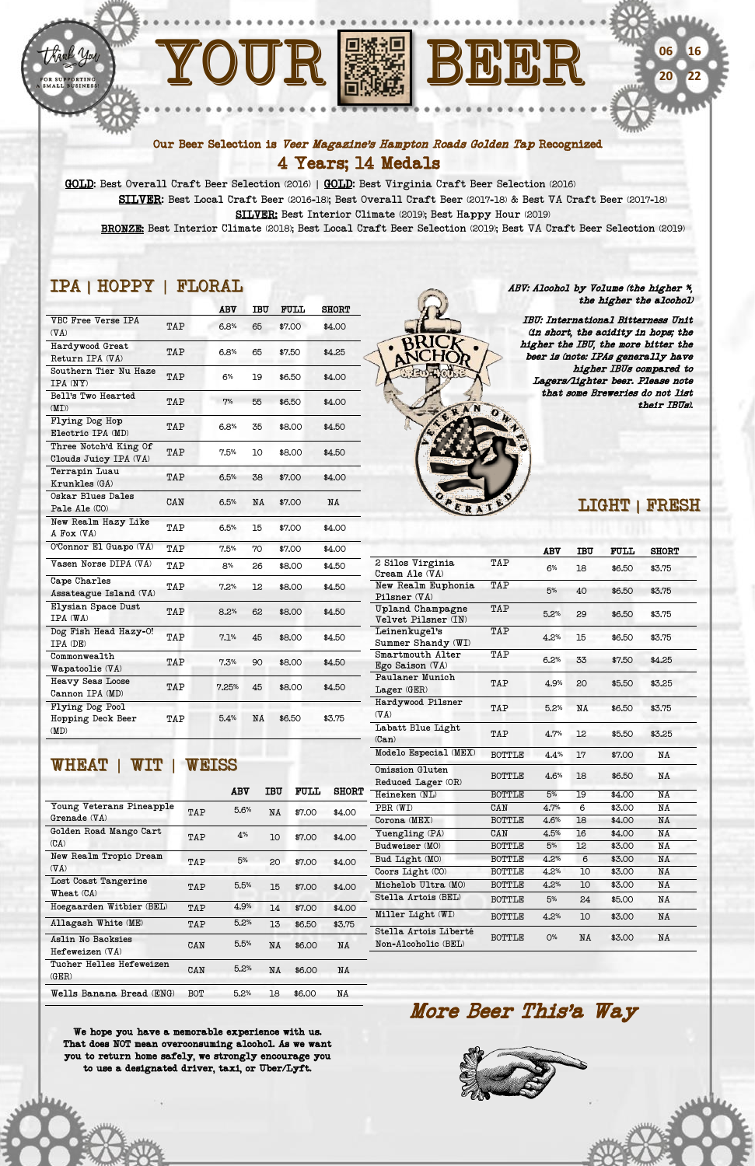





#### Our Beer Selection is Veer Magazine's Hampton Roads Golden Tap Recognized 4 Years; 14 Medals

 GOLD: Best Overall Craft Beer Selection (2016) | GOLD: Best Virginia Craft Beer Selection (2016) SILVER: Best Local Craft Beer (2016-18); Best Overall Craft Beer (2017-18) & Best VA Craft Beer (2017-18) SILVER: Best Interior Climate (2019); Best Happy Hour (2019) BRONZE: Best Interior Climate (2018); Best Local Craft Beer Selection (2019); Best VA Craft Beer Selection (2019)

# IPA | HOPPY | FLORAL

|                                                |     | ABV   | IBU | <b>FULL</b> | <b>SHORT</b> |
|------------------------------------------------|-----|-------|-----|-------------|--------------|
| VBC Free Verse IPA<br>$(\nabla A)$             | TAP | 6.8%  | 65  | \$7.00      | \$4.00       |
| Hardywood Great<br>Return IPA (VA)             | TAP | 6.8%  | 65  | \$7.50      | \$4.25       |
| Southern Tier Nu Haze<br>IPA (NY)              | TAP | 6%    | 19  | \$6.50      | \$4.00       |
| Bell's Two Hearted<br>(MI))                    | TAP | 7%    | 55  | \$6.50      | \$4.00       |
| Flying Dog Hop<br>Electric IPA (MD)            | TAP | 6.8%  | 35  | \$8.00      | \$4.50       |
| Three Notch'd King Of<br>Clouds Juicy IPA (VA) | TAP | 7.5%  | 10  | \$8.00      | \$4.50       |
| Terrapin Luau<br>Krunkles (GA)                 | TAP | 6.5%  | 38  | \$7.00      | \$4.00       |
| Oskar Blues Dales<br>Pale Ale (CO)             | CAN | 6.5%  | NA  | \$7.00      | NA           |
| New Realm Hazy Like<br>A Fox (VA)              | TAP | 6.5%  | 15  | \$7.00      | \$4.00       |
| O'Connor El Guapo (VA)                         | TAP | 7.5%  | 70  | \$7.00      | \$4.00       |
| $\sqrt{T}$ asen Norse DIPA ( $\sqrt{T}$ A)     | TAP | 8%    | 26  | \$8.00      | \$4.50       |
| Cape Charles<br>Assateague Island (VA)         | TAP | 7.2%  | 12  | \$8.00      | \$4.50       |
| Elysian Space Dust<br>IPA (WA)                 | TAP | 8.2%  | 62  | \$8.00      | \$4.50       |
| Dog Fish Head Hazy-O!<br>IPA (DE)              | TAP | 7.1%  | 45  | \$8.00      | \$4.50       |
| ${\tt Commonweak}$<br>Wapatoolie (VA)          | TAP | 7.3%  | 90  | \$8.00      | \$4.50       |
| <b>Heavy Seas Loose</b><br>Cannon IPA (MD)     | TAP | 7.25% | 45  | \$8.00      | \$4.50       |
| Flying Dog Pool<br>Hopping Deck Beer<br>(MD)   | TAP | 5.4%  | NA  | \$6.50      | \$3.75       |
|                                                |     |       |     |             |              |

WHEAT | WIT | WEISS

|                                      |            |      |     |             |              | Reduced Lager (OR)                           |               |       |    |        |    |
|--------------------------------------|------------|------|-----|-------------|--------------|----------------------------------------------|---------------|-------|----|--------|----|
|                                      |            | ABV  | IBU | <b>FULL</b> | <b>SHORT</b> | Heineken (NL)                                | <b>BOTTLE</b> | 5%    | 19 | \$4.00 | NA |
| Young Veterans Pineapple             | TAP        | 5.6% | NA  | \$7.00      | \$4.00       | PBR (WI)                                     | CAN           | 4.7%  | 6  | \$3.00 | NA |
| $G$ renade $(\nabla A)$              |            |      |     |             |              | Corona (MEX)                                 | <b>BOTTLE</b> | 4.6%  | 18 | \$4.00 | NA |
| Golden Road Mango Cart               | TAP        | 4%   | 10  | \$7.00      | \$4.00       | Yuengling (PA)                               | CAN           | 4.5%  | 16 | \$4.00 | NA |
| (CA)                                 |            |      |     |             |              | Budweiser (MO)                               | <b>BOTTLE</b> | 5%    | 12 | \$3.00 | NA |
| New Realm Tropic Dream               | TAP        | 5%   | 20  | \$7.00      | \$4.00       | Bud Light (MO)                               | <b>BOTTLE</b> | 4.2%  | 6  | \$3.00 | NA |
| $(\nabla A)$                         |            |      |     |             |              | Coors Light (CO)                             | <b>BOTTLE</b> | 4.2%  | 10 | \$3.00 | NA |
| Lost Coast Tangerine                 | TAP        | 5.5% | 15  | \$7.00      | \$4.00       | Michelob Ultra (MO)                          | <b>BOTTLE</b> | 4.2%  | 10 | \$3.00 | NA |
| Wheat (CA)                           |            |      |     |             |              | Stella Artois (BEL)                          | <b>BOTTLE</b> | 5%    | 24 | \$5.00 | NA |
| Hoegaarden Witbier (BEL)             | TAP        | 4.9% | 14  | \$7.00      | \$4.00       | Miller Light (WI)                            |               |       |    |        |    |
| Allagash White (ME)                  | TAP        | 5.2% | 13  | \$6.50      | \$3.75       |                                              | <b>BOTTLE</b> | 4.2%  | 10 | \$3.00 | NA |
| Aslin No Backsies<br>Hefeweizen (VA) | CAN        | 5.5% | NA  | \$6.00      | NA           | Stella Artois Liberté<br>Non-Alcoholic (BEL) | <b>BOTTLE</b> | $O\%$ | NA | \$3.00 | NA |
| Tucher Helles Hefeweizen<br>(GER)    | CAN        | 5.2% | NA  | \$6.00      | NA           |                                              |               |       |    |        |    |
| Wells Banana Bread (ENG)             | <b>BOT</b> | 5.2% | 18  | \$6.00      | NA           |                                              |               |       |    |        |    |

## LIGHT | FRESH

|                                            |               | ABV  | <b>IBU</b> | <b>FULL</b> | <b>SHORT</b> |
|--------------------------------------------|---------------|------|------------|-------------|--------------|
| 2 Silos Virginia<br>Cream Ale $(\nabla A)$ | TAP           | 6%   | 18         | \$6.50      | \$3.75       |
| New Realm Euphonia<br>Pilsner $(\nabla A)$ | TAP           | 5%   | 40         | \$6.50      | \$3.75       |
| Upland Champagne<br>Velvet Pilsner (IN)    | TAP           | 5.2% | 29         | \$6.50      | \$3.75       |
| Leinenkugel's<br>Summer Shandy (WI)        | TAP           | 4.2% | 15         | \$6.50      | \$3.75       |
| Smartmouth Alter<br>Ego Saison (VA)        | TAP           | 6.2% | 33         | \$7.50      | \$4.25       |
| Paulaner Munich<br>Lager (GER)             | TAP           | 4.9% | 20         | \$5.50      | \$3.25       |
| Hardywood Pilsner<br>$(\nabla A)$          | TAP           | 5.2% | NA         | \$6.50      | \$3.75       |
| Labatt Blue Light<br>(Can)                 | TAP           | 4.7% | 12         | \$5.50      | \$3.25       |
| Modelo Especial (MEX)                      | <b>BOTTLE</b> | 4.4% | 17         | \$7.00      | NA           |
| Omission Gluten<br>Reduced Lager (OR)      | <b>BOTTLE</b> | 4.6% | 18         | \$6.50      | NA           |
| Heineken (NL)                              | <b>BOTTLE</b> | 5%   | 19         | \$4.00      | NA           |
| PBR (WI)                                   | CAN           | 4.7% | 6          | \$3.00      | NA           |
| $Corona$ ( $MEX$ )                         | <b>BOTTLE</b> | 4.6% | 18         | \$4.00      | NA           |
| Yuengling (PA)                             | CAN           | 4.5% | 16         | \$4.00      | NA           |
| Find motion (M <sub>0</sub> )              | ת דחיח∩ם      | 5%   | פ ר        | «ጁ ∩∩       | 71 V         |

More Beer This'a Way





We hope you have a memorable experience with us. That does NOT mean overconsuming alcohol. As we want you to return home safely, we strongly encourage you to use a designated driver, taxi, or Uber/Lyft.

#### ABV: Alcohol by Volume (the higher %, the higher the alcohol)

IBU: International Bitterness Unit (in short, the acidity in hops; the higher the IBU, the more bitter the beer is (note: IPAs generally have higher IBUs compared to Lagers/lighter beer. Please note that some Breweries do not list their IBUs).